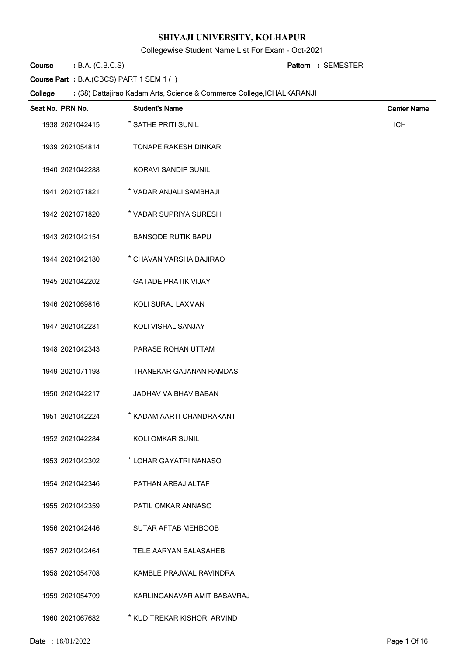Collegewise Student Name List For Exam - Oct-2021

B.A. (C.B.C.S) **: Pattern Course**

SEMESTER **:**

**Course Part :** B.A.(CBCS) PART 1 SEM 1 ( )

| Seat No. PRN No. | <b>Student's Name</b>       | <b>Center Name</b> |
|------------------|-----------------------------|--------------------|
| 1938 2021042415  | * SATHE PRITI SUNIL         | <b>ICH</b>         |
| 1939 2021054814  | <b>TONAPE RAKESH DINKAR</b> |                    |
| 1940 2021042288  | <b>KORAVI SANDIP SUNIL</b>  |                    |
| 1941 2021071821  | * VADAR ANJALI SAMBHAJI     |                    |
| 1942 2021071820  | * VADAR SUPRIYA SURESH      |                    |
| 1943 2021042154  | <b>BANSODE RUTIK BAPU</b>   |                    |
| 1944 2021042180  | * CHAVAN VARSHA BAJIRAO     |                    |
| 1945 2021042202  | <b>GATADE PRATIK VIJAY</b>  |                    |
| 1946 2021069816  | KOLI SURAJ LAXMAN           |                    |
| 1947 2021042281  | KOLI VISHAL SANJAY          |                    |
| 1948 2021042343  | PARASE ROHAN UTTAM          |                    |
| 1949 2021071198  | THANEKAR GAJANAN RAMDAS     |                    |
| 1950 2021042217  | JADHAV VAIBHAV BABAN        |                    |
| 1951 2021042224  | * KADAM AARTI CHANDRAKANT   |                    |
| 1952 2021042284  | <b>KOLI OMKAR SUNIL</b>     |                    |
| 1953 2021042302  | * LOHAR GAYATRI NANASO      |                    |
| 1954 2021042346  | PATHAN ARBAJ ALTAF          |                    |
| 1955 2021042359  | PATIL OMKAR ANNASO          |                    |
| 1956 2021042446  | <b>SUTAR AFTAB MEHBOOB</b>  |                    |
| 1957 2021042464  | TELE AARYAN BALASAHEB       |                    |
| 1958 2021054708  | KAMBLE PRAJWAL RAVINDRA     |                    |
| 1959 2021054709  | KARLINGANAVAR AMIT BASAVRAJ |                    |
| 1960 2021067682  | * KUDITREKAR KISHORI ARVIND |                    |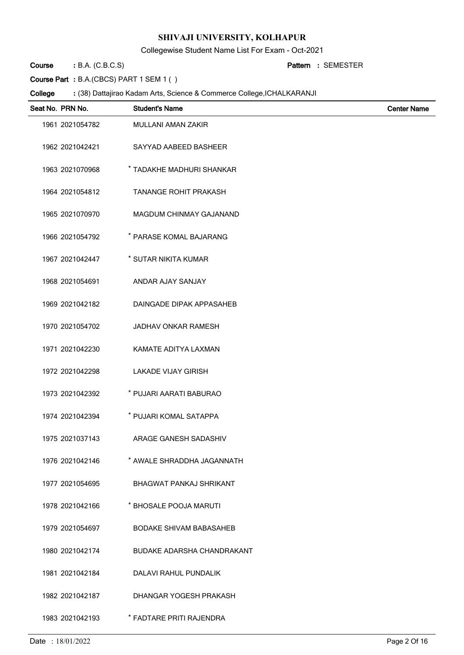Collegewise Student Name List For Exam - Oct-2021

B.A. (C.B.C.S) **: Pattern Course**

SEMESTER **:**

**Course Part :** B.A.(CBCS) PART 1 SEM 1 ( )

| Seat No. PRN No. | <b>Student's Name</b>             | <b>Center Name</b> |
|------------------|-----------------------------------|--------------------|
| 1961 2021054782  | <b>MULLANI AMAN ZAKIR</b>         |                    |
| 1962 2021042421  | SAYYAD AABEED BASHEER             |                    |
| 1963 2021070968  | * TADAKHE MADHURI SHANKAR         |                    |
| 1964 2021054812  | <b>TANANGE ROHIT PRAKASH</b>      |                    |
| 1965 2021070970  | <b>MAGDUM CHINMAY GAJANAND</b>    |                    |
| 1966 2021054792  | * PARASE KOMAL BAJARANG           |                    |
| 1967 2021042447  | * SUTAR NIKITA KUMAR              |                    |
| 1968 2021054691  | ANDAR AJAY SANJAY                 |                    |
| 1969 2021042182  | DAINGADE DIPAK APPASAHEB          |                    |
| 1970 2021054702  | <b>JADHAV ONKAR RAMESH</b>        |                    |
| 1971 2021042230  | KAMATE ADITYA LAXMAN              |                    |
| 1972 2021042298  | <b>LAKADE VIJAY GIRISH</b>        |                    |
| 1973 2021042392  | * PUJARI AARATI BABURAO           |                    |
| 1974 2021042394  | * PUJARI KOMAL SATAPPA            |                    |
| 1975 2021037143  | ARAGE GANESH SADASHIV             |                    |
| 1976 2021042146  | * AWALE SHRADDHA JAGANNATH        |                    |
| 1977 2021054695  | BHAGWAT PANKAJ SHRIKANT           |                    |
| 1978 2021042166  | * BHOSALE POOJA MARUTI            |                    |
| 1979 2021054697  | <b>BODAKE SHIVAM BABASAHEB</b>    |                    |
| 1980 2021042174  | <b>BUDAKE ADARSHA CHANDRAKANT</b> |                    |
| 1981 2021042184  | DALAVI RAHUL PUNDALIK             |                    |
| 1982 2021042187  | DHANGAR YOGESH PRAKASH            |                    |
| 1983 2021042193  | * FADTARE PRITI RAJENDRA          |                    |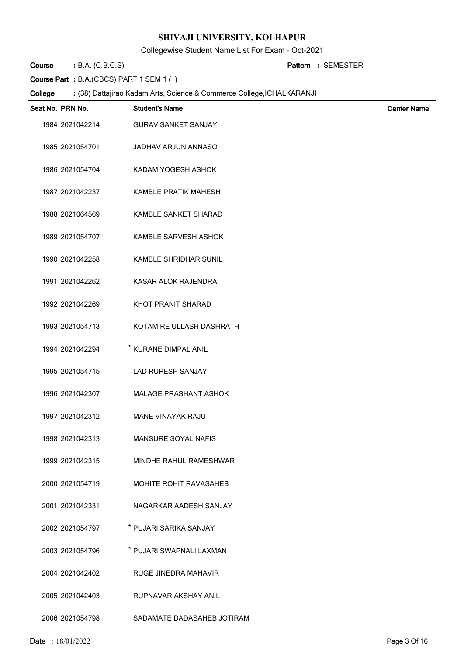Collegewise Student Name List For Exam - Oct-2021

B.A. (C.B.C.S) **: Pattern Course**

SEMESTER **:**

**Course Part :** B.A.(CBCS) PART 1 SEM 1 ( )

| Seat No. PRN No. | <b>Student's Name</b>         | <b>Center Name</b> |
|------------------|-------------------------------|--------------------|
| 1984 2021042214  | <b>GURAV SANKET SANJAY</b>    |                    |
| 1985 2021054701  | JADHAV ARJUN ANNASO           |                    |
| 1986 2021054704  | KADAM YOGESH ASHOK            |                    |
| 1987 2021042237  | KAMBLE PRATIK MAHESH          |                    |
| 1988 2021064569  | KAMBLE SANKET SHARAD          |                    |
| 1989 2021054707  | KAMBLE SARVESH ASHOK          |                    |
| 1990 2021042258  | KAMBLE SHRIDHAR SUNIL         |                    |
| 1991 2021042262  | KASAR ALOK RAJENDRA           |                    |
| 1992 2021042269  | KHOT PRANIT SHARAD            |                    |
| 1993 2021054713  | KOTAMIRE ULLASH DASHRATH      |                    |
| 1994 2021042294  | * KURANE DIMPAL ANIL          |                    |
| 1995 2021054715  | <b>LAD RUPESH SANJAY</b>      |                    |
| 1996 2021042307  | <b>MALAGE PRASHANT ASHOK</b>  |                    |
| 1997 2021042312  | MANE VINAYAK RAJU             |                    |
| 1998 2021042313  | MANSURE SOYAL NAFIS           |                    |
| 1999 2021042315  | MINDHE RAHUL RAMESHWAR        |                    |
| 2000 2021054719  | <b>MOHITE ROHIT RAVASAHEB</b> |                    |
| 2001 2021042331  | NAGARKAR AADESH SANJAY        |                    |
| 2002 2021054797  | * PUJARI SARIKA SANJAY        |                    |
| 2003 2021054796  | * PUJARI SWAPNALI LAXMAN      |                    |
| 2004 2021042402  | <b>RUGE JINEDRA MAHAVIR</b>   |                    |
| 2005 2021042403  | RUPNAVAR AKSHAY ANIL          |                    |
| 2006 2021054798  | SADAMATE DADASAHEB JOTIRAM    |                    |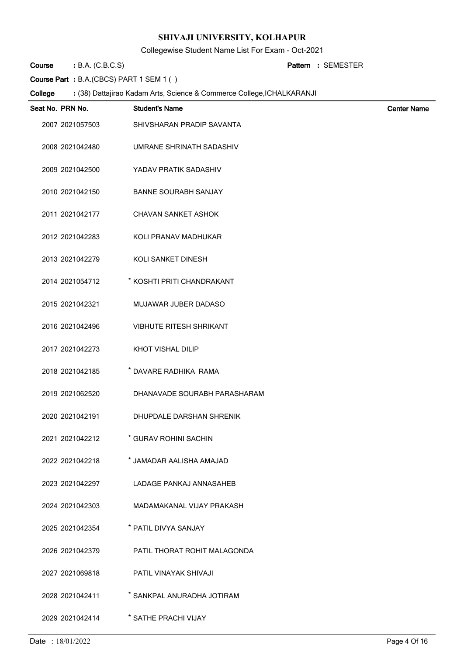Collegewise Student Name List For Exam - Oct-2021

B.A. (C.B.C.S) **: Pattern Course**

SEMESTER **:**

**Course Part :** B.A.(CBCS) PART 1 SEM 1 ( )

| Seat No. PRN No. | <b>Student's Name</b>          | <b>Center Name</b> |
|------------------|--------------------------------|--------------------|
| 2007 2021057503  | SHIVSHARAN PRADIP SAVANTA      |                    |
| 2008 2021042480  | UMRANE SHRINATH SADASHIV       |                    |
| 2009 2021042500  | YADAV PRATIK SADASHIV          |                    |
| 2010 2021042150  | <b>BANNE SOURABH SANJAY</b>    |                    |
| 2011 2021042177  | <b>CHAVAN SANKET ASHOK</b>     |                    |
| 2012 2021042283  | KOLI PRANAV MADHUKAR           |                    |
| 2013 2021042279  | <b>KOLI SANKET DINESH</b>      |                    |
| 2014 2021054712  | * KOSHTI PRITI CHANDRAKANT     |                    |
| 2015 2021042321  | MUJAWAR JUBER DADASO           |                    |
| 2016 2021042496  | <b>VIBHUTE RITESH SHRIKANT</b> |                    |
| 2017 2021042273  | <b>KHOT VISHAL DILIP</b>       |                    |
| 2018 2021042185  | * DAVARE RADHIKA RAMA          |                    |
| 2019 2021062520  | DHANAVADE SOURABH PARASHARAM   |                    |
| 2020 2021042191  | DHUPDALE DARSHAN SHRENIK       |                    |
| 2021 2021042212  | * GURAV ROHINI SACHIN          |                    |
| 2022 2021042218  | * JAMADAR AALISHA AMAJAD       |                    |
| 2023 2021042297  | LADAGE PANKAJ ANNASAHEB        |                    |
| 2024 2021042303  | MADAMAKANAL VIJAY PRAKASH      |                    |
| 2025 2021042354  | * PATIL DIVYA SANJAY           |                    |
| 2026 2021042379  | PATIL THORAT ROHIT MALAGONDA   |                    |
| 2027 2021069818  | PATIL VINAYAK SHIVAJI          |                    |
| 2028 2021042411  | * SANKPAL ANURADHA JOTIRAM     |                    |
| 2029 2021042414  | * SATHE PRACHI VIJAY           |                    |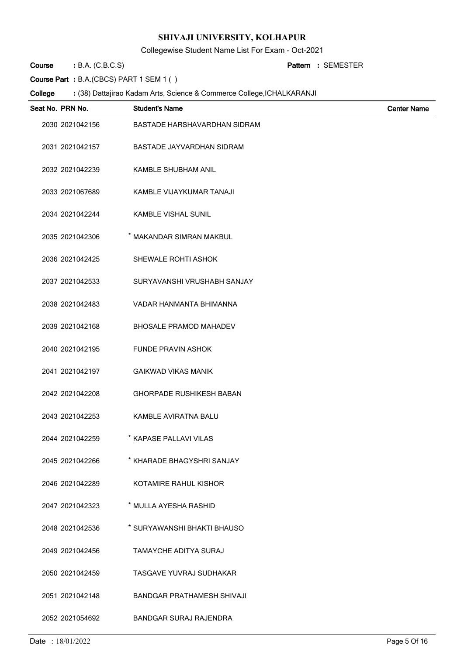Collegewise Student Name List For Exam - Oct-2021

B.A. (C.B.C.S) **: Pattern Course**

SEMESTER **:**

**Course Part :** B.A.(CBCS) PART 1 SEM 1 ( )

| Seat No. PRN No. | <b>Student's Name</b>             | <b>Center Name</b> |
|------------------|-----------------------------------|--------------------|
| 2030 2021042156  | BASTADE HARSHAVARDHAN SIDRAM      |                    |
| 2031 2021042157  | BASTADE JAYVARDHAN SIDRAM         |                    |
| 2032 2021042239  | <b>KAMBLE SHUBHAM ANIL</b>        |                    |
| 2033 2021067689  | KAMBLE VIJAYKUMAR TANAJI          |                    |
| 2034 2021042244  | <b>KAMBLE VISHAL SUNIL</b>        |                    |
| 2035 2021042306  | * MAKANDAR SIMRAN MAKBUL          |                    |
| 2036 2021042425  | SHEWALE ROHTI ASHOK               |                    |
| 2037 2021042533  | SURYAVANSHI VRUSHABH SANJAY       |                    |
| 2038 2021042483  | VADAR HANMANTA BHIMANNA           |                    |
| 2039 2021042168  | <b>BHOSALE PRAMOD MAHADEV</b>     |                    |
| 2040 2021042195  | <b>FUNDE PRAVIN ASHOK</b>         |                    |
| 2041 2021042197  | <b>GAIKWAD VIKAS MANIK</b>        |                    |
| 2042 2021042208  | <b>GHORPADE RUSHIKESH BABAN</b>   |                    |
| 2043 2021042253  | KAMBLE AVIRATNA BALU              |                    |
| 2044 2021042259  | * KAPASE PALLAVI VILAS            |                    |
| 2045 2021042266  | * KHARADE BHAGYSHRI SANJAY        |                    |
| 2046 2021042289  | KOTAMIRE RAHUL KISHOR             |                    |
| 2047 2021042323  | * MULLA AYESHA RASHID             |                    |
| 2048 2021042536  | * SURYAWANSHI BHAKTI BHAUSO       |                    |
| 2049 2021042456  | TAMAYCHE ADITYA SURAJ             |                    |
| 2050 2021042459  | TASGAVE YUVRAJ SUDHAKAR           |                    |
| 2051 2021042148  | <b>BANDGAR PRATHAMESH SHIVAJI</b> |                    |
| 2052 2021054692  | <b>BANDGAR SURAJ RAJENDRA</b>     |                    |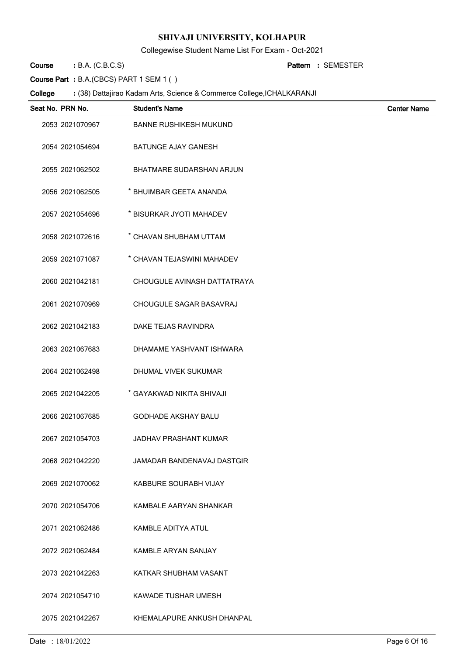Collegewise Student Name List For Exam - Oct-2021

B.A. (C.B.C.S) **: Pattern Course**

SEMESTER **:**

**Course Part :** B.A.(CBCS) PART 1 SEM 1 ( )

| Seat No. PRN No. | <b>Student's Name</b>           | <b>Center Name</b> |
|------------------|---------------------------------|--------------------|
| 2053 2021070967  | <b>BANNE RUSHIKESH MUKUND</b>   |                    |
| 2054 2021054694  | <b>BATUNGE AJAY GANESH</b>      |                    |
| 2055 2021062502  | <b>BHATMARE SUDARSHAN ARJUN</b> |                    |
| 2056 2021062505  | * BHUIMBAR GEETA ANANDA         |                    |
| 2057 2021054696  | * BISURKAR JYOTI MAHADEV        |                    |
| 2058 2021072616  | * CHAVAN SHUBHAM UTTAM          |                    |
| 2059 2021071087  | * CHAVAN TEJASWINI MAHADEV      |                    |
| 2060 2021042181  | CHOUGULE AVINASH DATTATRAYA     |                    |
| 2061 2021070969  | CHOUGULE SAGAR BASAVRAJ         |                    |
| 2062 2021042183  | DAKE TEJAS RAVINDRA             |                    |
| 2063 2021067683  | DHAMAME YASHVANT ISHWARA        |                    |
| 2064 2021062498  | DHUMAL VIVEK SUKUMAR            |                    |
| 2065 2021042205  | * GAYAKWAD NIKITA SHIVAJI       |                    |
| 2066 2021067685  | <b>GODHADE AKSHAY BALU</b>      |                    |
| 2067 2021054703  | <b>JADHAV PRASHANT KUMAR</b>    |                    |
| 2068 2021042220  | JAMADAR BANDENAVAJ DASTGIR      |                    |
| 2069 2021070062  | KABBURE SOURABH VIJAY           |                    |
| 2070 2021054706  | KAMBALE AARYAN SHANKAR          |                    |
| 2071 2021062486  | <b>KAMBLE ADITYA ATUL</b>       |                    |
| 2072 2021062484  | KAMBLE ARYAN SANJAY             |                    |
| 2073 2021042263  | KATKAR SHUBHAM VASANT           |                    |
| 2074 2021054710  | KAWADE TUSHAR UMESH             |                    |
| 2075 2021042267  | KHEMALAPURE ANKUSH DHANPAL      |                    |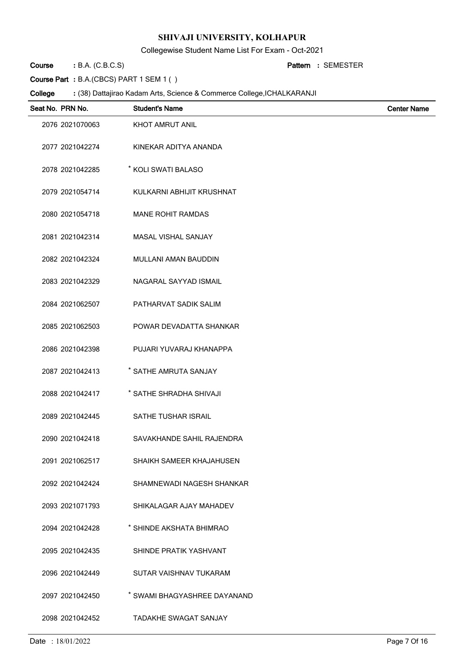Collegewise Student Name List For Exam - Oct-2021

B.A. (C.B.C.S) **: Pattern Course**

SEMESTER **:**

**Course Part :** B.A.(CBCS) PART 1 SEM 1 ( )

| Seat No. PRN No. | <b>Student's Name</b>        | <b>Center Name</b> |
|------------------|------------------------------|--------------------|
| 2076 2021070063  | KHOT AMRUT ANIL              |                    |
| 2077 2021042274  | KINEKAR ADITYA ANANDA        |                    |
| 2078 2021042285  | * KOLI SWATI BALASO          |                    |
| 2079 2021054714  | KULKARNI ABHIJIT KRUSHNAT    |                    |
| 2080 2021054718  | <b>MANE ROHIT RAMDAS</b>     |                    |
| 2081 2021042314  | MASAL VISHAL SANJAY          |                    |
| 2082 2021042324  | <b>MULLANI AMAN BAUDDIN</b>  |                    |
| 2083 2021042329  | NAGARAL SAYYAD ISMAIL        |                    |
| 2084 2021062507  | PATHARVAT SADIK SALIM        |                    |
| 2085 2021062503  | POWAR DEVADATTA SHANKAR      |                    |
| 2086 2021042398  | PUJARI YUVARAJ KHANAPPA      |                    |
| 2087 2021042413  | * SATHE AMRUTA SANJAY        |                    |
| 2088 2021042417  | * SATHE SHRADHA SHIVAJI      |                    |
| 2089 2021042445  | SATHE TUSHAR ISRAIL          |                    |
| 2090 2021042418  | SAVAKHANDE SAHIL RAJENDRA    |                    |
| 2091 2021062517  | SHAIKH SAMEER KHAJAHUSEN     |                    |
| 2092 2021042424  | SHAMNEWADI NAGESH SHANKAR    |                    |
| 2093 2021071793  | SHIKALAGAR AJAY MAHADEV      |                    |
| 2094 2021042428  | * SHINDE AKSHATA BHIMRAO     |                    |
| 2095 2021042435  | SHINDE PRATIK YASHVANT       |                    |
| 2096 2021042449  | SUTAR VAISHNAV TUKARAM       |                    |
| 2097 2021042450  | * SWAMI BHAGYASHREE DAYANAND |                    |
| 2098 2021042452  | <b>TADAKHE SWAGAT SANJAY</b> |                    |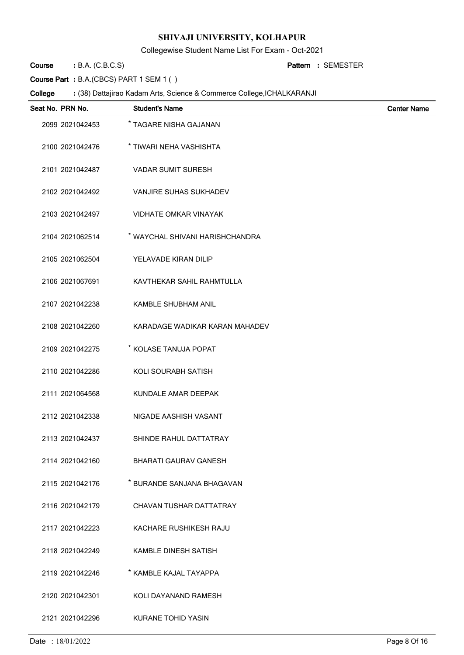Collegewise Student Name List For Exam - Oct-2021

B.A. (C.B.C.S) **: Pattern Course**

SEMESTER **:**

**Course Part :** B.A.(CBCS) PART 1 SEM 1 ( )

| Seat No. PRN No. | <b>Student's Name</b>           | <b>Center Name</b> |
|------------------|---------------------------------|--------------------|
| 2099 2021042453  | * TAGARE NISHA GAJANAN          |                    |
| 2100 2021042476  | * TIWARI NEHA VASHISHTA         |                    |
| 2101 2021042487  | <b>VADAR SUMIT SURESH</b>       |                    |
| 2102 2021042492  | <b>VANJIRE SUHAS SUKHADEV</b>   |                    |
| 2103 2021042497  | <b>VIDHATE OMKAR VINAYAK</b>    |                    |
| 2104 2021062514  | * WAYCHAL SHIVANI HARISHCHANDRA |                    |
| 2105 2021062504  | YELAVADE KIRAN DILIP            |                    |
| 2106 2021067691  | KAVTHEKAR SAHIL RAHMTULLA       |                    |
| 2107 2021042238  | <b>KAMBLE SHUBHAM ANIL</b>      |                    |
| 2108 2021042260  | KARADAGE WADIKAR KARAN MAHADEV  |                    |
| 2109 2021042275  | * KOLASE TANUJA POPAT           |                    |
| 2110 2021042286  | KOLI SOURABH SATISH             |                    |
| 2111 2021064568  | KUNDALE AMAR DEEPAK             |                    |
| 2112 2021042338  | NIGADE AASHISH VASANT           |                    |
| 2113 2021042437  | SHINDE RAHUL DATTATRAY          |                    |
| 2114 2021042160  | <b>BHARATI GAURAV GANESH</b>    |                    |
| 2115 2021042176  | * BURANDE SANJANA BHAGAVAN      |                    |
| 2116 2021042179  | CHAVAN TUSHAR DATTATRAY         |                    |
| 2117 2021042223  | KACHARE RUSHIKESH RAJU          |                    |
| 2118 2021042249  | KAMBLE DINESH SATISH            |                    |
| 2119 2021042246  | * KAMBLE KAJAL TAYAPPA          |                    |
| 2120 2021042301  | KOLI DAYANAND RAMESH            |                    |
| 2121 2021042296  | <b>KURANE TOHID YASIN</b>       |                    |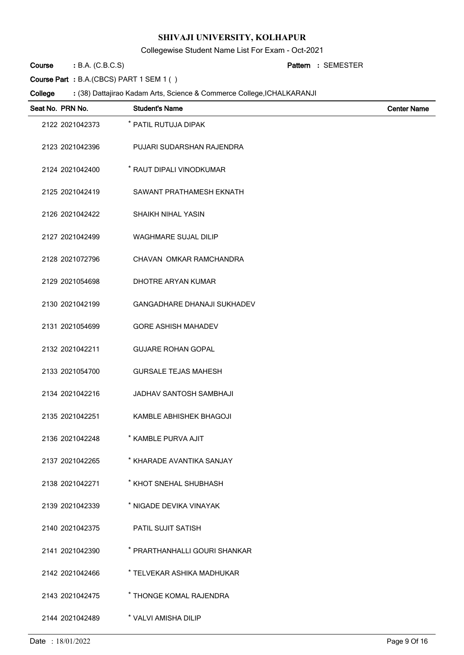Collegewise Student Name List For Exam - Oct-2021

B.A. (C.B.C.S) **: Pattern Course**

SEMESTER **:**

**Course Part :** B.A.(CBCS) PART 1 SEM 1 ( )

| Seat No. PRN No. | <b>Student's Name</b>              | <b>Center Name</b> |
|------------------|------------------------------------|--------------------|
| 2122 2021042373  | * PATIL RUTUJA DIPAK               |                    |
| 2123 2021042396  | PUJARI SUDARSHAN RAJENDRA          |                    |
| 2124 2021042400  | * RAUT DIPALI VINODKUMAR           |                    |
| 2125 2021042419  | SAWANT PRATHAMESH EKNATH           |                    |
| 2126 2021042422  | <b>SHAIKH NIHAL YASIN</b>          |                    |
| 2127 2021042499  | <b>WAGHMARE SUJAL DILIP</b>        |                    |
| 2128 2021072796  | CHAVAN OMKAR RAMCHANDRA            |                    |
| 2129 2021054698  | DHOTRE ARYAN KUMAR                 |                    |
| 2130 2021042199  | <b>GANGADHARE DHANAJI SUKHADEV</b> |                    |
| 2131 2021054699  | <b>GORE ASHISH MAHADEV</b>         |                    |
| 2132 2021042211  | <b>GUJARE ROHAN GOPAL</b>          |                    |
| 2133 2021054700  | <b>GURSALE TEJAS MAHESH</b>        |                    |
| 2134 2021042216  | JADHAV SANTOSH SAMBHAJI            |                    |
| 2135 2021042251  | KAMBLE ABHISHEK BHAGOJI            |                    |
| 2136 2021042248  | * KAMBLE PURVA AJIT                |                    |
| 2137 2021042265  | * KHARADE AVANTIKA SANJAY          |                    |
| 2138 2021042271  | * KHOT SNEHAL SHUBHASH             |                    |
| 2139 2021042339  | * NIGADE DEVIKA VINAYAK            |                    |
| 2140 2021042375  | PATIL SUJIT SATISH                 |                    |
| 2141 2021042390  | * PRARTHANHALLI GOURI SHANKAR      |                    |
| 2142 2021042466  | * TELVEKAR ASHIKA MADHUKAR         |                    |
| 2143 2021042475  | * THONGE KOMAL RAJENDRA            |                    |
| 2144 2021042489  | * VALVI AMISHA DILIP               |                    |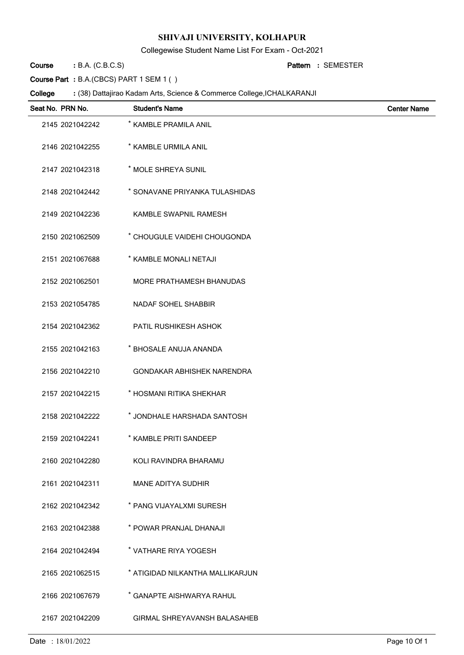Collegewise Student Name List For Exam - Oct-2021

B.A. (C.B.C.S) **: Pattern Course**

SEMESTER **:**

**Course Part :** B.A.(CBCS) PART 1 SEM 1 ( )

| Seat No. PRN No. | <b>Student's Name</b>               | <b>Center Name</b> |
|------------------|-------------------------------------|--------------------|
| 2145 2021042242  | * KAMBLE PRAMILA ANIL               |                    |
| 2146 2021042255  | * KAMBLE URMILA ANIL                |                    |
| 2147 2021042318  | * MOLE SHREYA SUNIL                 |                    |
| 2148 2021042442  | * SONAVANE PRIYANKA TULASHIDAS      |                    |
| 2149 2021042236  | KAMBLE SWAPNIL RAMESH               |                    |
| 2150 2021062509  | * CHOUGULE VAIDEHI CHOUGONDA        |                    |
| 2151 2021067688  | * KAMBLE MONALI NETAJI              |                    |
| 2152 2021062501  | <b>MORE PRATHAMESH BHANUDAS</b>     |                    |
| 2153 2021054785  | <b>NADAF SOHEL SHABBIR</b>          |                    |
| 2154 2021042362  | PATIL RUSHIKESH ASHOK               |                    |
| 2155 2021042163  | * BHOSALE ANUJA ANANDA              |                    |
| 2156 2021042210  | <b>GONDAKAR ABHISHEK NARENDRA</b>   |                    |
| 2157 2021042215  | * HOSMANI RITIKA SHEKHAR            |                    |
| 2158 2021042222  | * JONDHALE HARSHADA SANTOSH         |                    |
| 2159 2021042241  | * KAMBLE PRITI SANDEEP              |                    |
| 2160 2021042280  | KOLI RAVINDRA BHARAMU               |                    |
| 2161 2021042311  | MANE ADITYA SUDHIR                  |                    |
| 2162 2021042342  | * PANG VIJAYALXMI SURESH            |                    |
| 2163 2021042388  | * POWAR PRANJAL DHANAJI             |                    |
| 2164 2021042494  | * VATHARE RIYA YOGESH               |                    |
| 2165 2021062515  | * ATIGIDAD NILKANTHA MALLIKARJUN    |                    |
| 2166 2021067679  | * GANAPTE AISHWARYA RAHUL           |                    |
| 2167 2021042209  | <b>GIRMAL SHREYAVANSH BALASAHEB</b> |                    |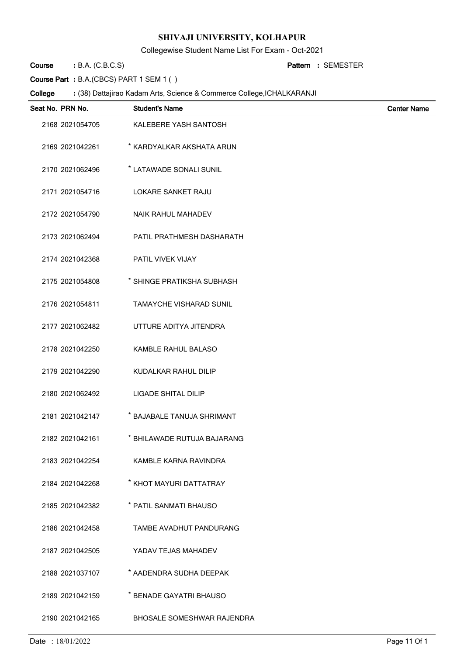Collegewise Student Name List For Exam - Oct-2021

B.A. (C.B.C.S) **: Pattern Course**

SEMESTER **:**

**Course Part :** B.A.(CBCS) PART 1 SEM 1 ( )

| Seat No. PRN No. | <b>Student's Name</b>          | <b>Center Name</b> |
|------------------|--------------------------------|--------------------|
| 2168 2021054705  | KALEBERE YASH SANTOSH          |                    |
| 2169 2021042261  | * KARDYALKAR AKSHATA ARUN      |                    |
| 2170 2021062496  | * LATAWADE SONALI SUNIL        |                    |
| 2171 2021054716  | <b>LOKARE SANKET RAJU</b>      |                    |
| 2172 2021054790  | <b>NAIK RAHUL MAHADEV</b>      |                    |
| 2173 2021062494  | PATIL PRATHMESH DASHARATH      |                    |
| 2174 2021042368  | PATIL VIVEK VIJAY              |                    |
| 2175 2021054808  | * SHINGE PRATIKSHA SUBHASH     |                    |
| 2176 2021054811  | <b>TAMAYCHE VISHARAD SUNIL</b> |                    |
| 2177 2021062482  | UTTURE ADITYA JITENDRA         |                    |
| 2178 2021042250  | KAMBLE RAHUL BALASO            |                    |
| 2179 2021042290  | KUDALKAR RAHUL DILIP           |                    |
| 2180 2021062492  | LIGADE SHITAL DILIP            |                    |
| 2181 2021042147  | * BAJABALE TANUJA SHRIMANT     |                    |
| 2182 2021042161  | * BHILAWADE RUTUJA BAJARANG    |                    |
| 2183 2021042254  | KAMBLE KARNA RAVINDRA          |                    |
| 2184 2021042268  | * KHOT MAYURI DATTATRAY        |                    |
| 2185 2021042382  | * PATIL SANMATI BHAUSO         |                    |
| 2186 2021042458  | <b>TAMBE AVADHUT PANDURANG</b> |                    |
| 2187 2021042505  | YADAV TEJAS MAHADEV            |                    |
| 2188 2021037107  | * AADENDRA SUDHA DEEPAK        |                    |
| 2189 2021042159  | * BENADE GAYATRI BHAUSO        |                    |
| 2190 2021042165  | BHOSALE SOMESHWAR RAJENDRA     |                    |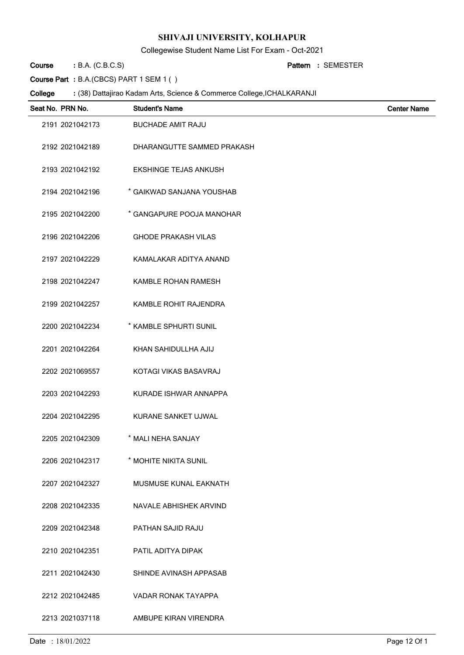Collegewise Student Name List For Exam - Oct-2021

B.A. (C.B.C.S) **: Pattern Course**

SEMESTER **:**

**Course Part :** B.A.(CBCS) PART 1 SEM 1 ( )

| Seat No. PRN No. | <b>Student's Name</b>        | <b>Center Name</b> |
|------------------|------------------------------|--------------------|
| 2191 2021042173  | <b>BUCHADE AMIT RAJU</b>     |                    |
| 2192 2021042189  | DHARANGUTTE SAMMED PRAKASH   |                    |
| 2193 2021042192  | <b>EKSHINGE TEJAS ANKUSH</b> |                    |
| 2194 2021042196  | * GAIKWAD SANJANA YOUSHAB    |                    |
| 2195 2021042200  | * GANGAPURE POOJA MANOHAR    |                    |
| 2196 2021042206  | <b>GHODE PRAKASH VILAS</b>   |                    |
| 2197 2021042229  | KAMALAKAR ADITYA ANAND       |                    |
| 2198 2021042247  | KAMBLE ROHAN RAMESH          |                    |
| 2199 2021042257  | KAMBLE ROHIT RAJENDRA        |                    |
| 2200 2021042234  | * KAMBLE SPHURTI SUNIL       |                    |
| 2201 2021042264  | KHAN SAHIDULLHA AJIJ         |                    |
| 2202 2021069557  | KOTAGI VIKAS BASAVRAJ        |                    |
| 2203 2021042293  | KURADE ISHWAR ANNAPPA        |                    |
| 2204 2021042295  | KURANE SANKET UJWAL          |                    |
| 2205 2021042309  | * MALI NEHA SANJAY           |                    |
| 2206 2021042317  | * MOHITE NIKITA SUNIL        |                    |
| 2207 2021042327  | MUSMUSE KUNAL EAKNATH        |                    |
| 2208 2021042335  | NAVALE ABHISHEK ARVIND       |                    |
| 2209 2021042348  | PATHAN SAJID RAJU            |                    |
| 2210 2021042351  | PATIL ADITYA DIPAK           |                    |
| 2211 2021042430  | SHINDE AVINASH APPASAB       |                    |
| 2212 2021042485  | VADAR RONAK TAYAPPA          |                    |
| 2213 2021037118  | AMBUPE KIRAN VIRENDRA        |                    |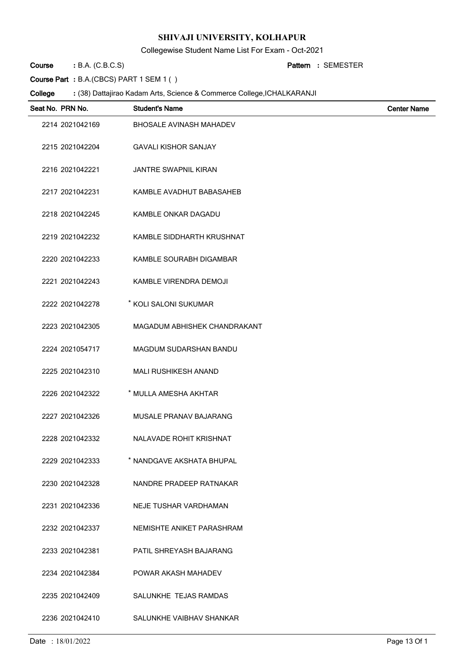Collegewise Student Name List For Exam - Oct-2021

B.A. (C.B.C.S) **: Pattern Course**

SEMESTER **:**

**Course Part :** B.A.(CBCS) PART 1 SEM 1 ( )

| Seat No. PRN No. | <b>Student's Name</b>          | <b>Center Name</b> |
|------------------|--------------------------------|--------------------|
| 2214 2021042169  | <b>BHOSALE AVINASH MAHADEV</b> |                    |
| 2215 2021042204  | <b>GAVALI KISHOR SANJAY</b>    |                    |
| 2216 2021042221  | <b>JANTRE SWAPNIL KIRAN</b>    |                    |
| 2217 2021042231  | KAMBLE AVADHUT BABASAHEB       |                    |
| 2218 2021042245  | KAMBLE ONKAR DAGADU            |                    |
| 2219 2021042232  | KAMBLE SIDDHARTH KRUSHNAT      |                    |
| 2220 2021042233  | KAMBLE SOURABH DIGAMBAR        |                    |
| 2221 2021042243  | KAMBLE VIRENDRA DEMOJI         |                    |
| 2222 2021042278  | * KOLI SALONI SUKUMAR          |                    |
| 2223 2021042305  | MAGADUM ABHISHEK CHANDRAKANT   |                    |
| 2224 2021054717  | MAGDUM SUDARSHAN BANDU         |                    |
| 2225 2021042310  | <b>MALI RUSHIKESH ANAND</b>    |                    |
| 2226 2021042322  | * MULLA AMESHA AKHTAR          |                    |
| 2227 2021042326  | MUSALE PRANAV BAJARANG         |                    |
| 2228 2021042332  | NALAVADE ROHIT KRISHNAT        |                    |
| 2229 2021042333  | * NANDGAVE AKSHATA BHUPAL      |                    |
| 2230 2021042328  | NANDRE PRADEEP RATNAKAR        |                    |
| 2231 2021042336  | NEJE TUSHAR VARDHAMAN          |                    |
| 2232 2021042337  | NEMISHTE ANIKET PARASHRAM      |                    |
| 2233 2021042381  | PATIL SHREYASH BAJARANG        |                    |
| 2234 2021042384  | POWAR AKASH MAHADEV            |                    |
| 2235 2021042409  | SALUNKHE TEJAS RAMDAS          |                    |
| 2236 2021042410  | SALUNKHE VAIBHAV SHANKAR       |                    |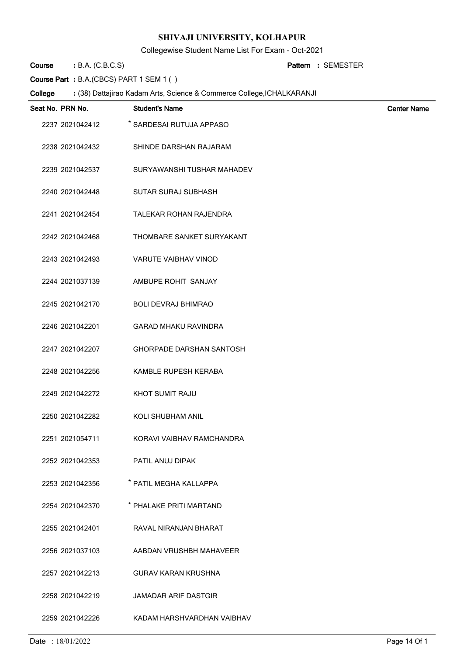Collegewise Student Name List For Exam - Oct-2021

B.A. (C.B.C.S) **: Pattern Course**

SEMESTER **:**

**Course Part :** B.A.(CBCS) PART 1 SEM 1 ( )

| Seat No. PRN No. | <b>Student's Name</b>           | <b>Center Name</b> |
|------------------|---------------------------------|--------------------|
| 2237 2021042412  | * SARDESAI RUTUJA APPASO        |                    |
| 2238 2021042432  | SHINDE DARSHAN RAJARAM          |                    |
| 2239 2021042537  | SURYAWANSHI TUSHAR MAHADEV      |                    |
| 2240 2021042448  | <b>SUTAR SURAJ SUBHASH</b>      |                    |
| 2241 2021042454  | TALEKAR ROHAN RAJENDRA          |                    |
| 2242 2021042468  | THOMBARE SANKET SURYAKANT       |                    |
| 2243 2021042493  | VARUTE VAIBHAV VINOD            |                    |
| 2244 2021037139  | AMBUPE ROHIT SANJAY             |                    |
| 2245 2021042170  | <b>BOLI DEVRAJ BHIMRAO</b>      |                    |
| 2246 2021042201  | <b>GARAD MHAKU RAVINDRA</b>     |                    |
| 2247 2021042207  | <b>GHORPADE DARSHAN SANTOSH</b> |                    |
| 2248 2021042256  | KAMBLE RUPESH KERABA            |                    |
| 2249 2021042272  | KHOT SUMIT RAJU                 |                    |
| 2250 2021042282  | KOLI SHUBHAM ANIL               |                    |
| 2251 2021054711  | KORAVI VAIBHAV RAMCHANDRA       |                    |
| 2252 2021042353  | PATIL ANUJ DIPAK                |                    |
| 2253 2021042356  | * PATIL MEGHA KALLAPPA          |                    |
| 2254 2021042370  | * PHALAKE PRITI MARTAND         |                    |
| 2255 2021042401  | RAVAL NIRANJAN BHARAT           |                    |
| 2256 2021037103  | AABDAN VRUSHBH MAHAVEER         |                    |
| 2257 2021042213  | <b>GURAV KARAN KRUSHNA</b>      |                    |
| 2258 2021042219  | <b>JAMADAR ARIF DASTGIR</b>     |                    |
| 2259 2021042226  | KADAM HARSHVARDHAN VAIBHAV      |                    |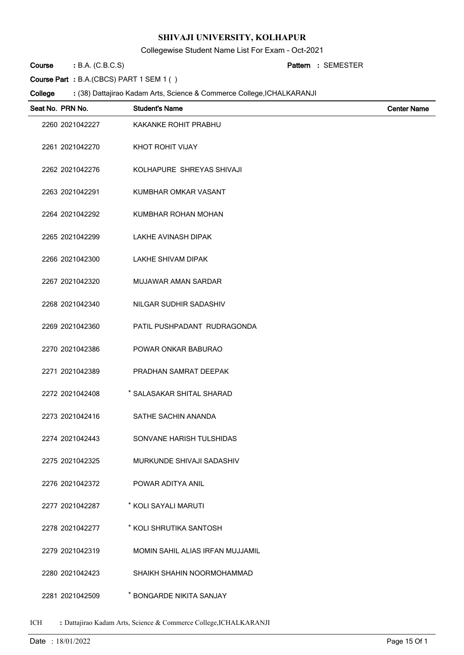Collegewise Student Name List For Exam - Oct-2021

B.A. (C.B.C.S) **: Pattern Course**

SEMESTER **:**

**Course Part :** B.A.(CBCS) PART 1 SEM 1 ( )

#### (38) Dattajirao Kadam Arts, Science & Commerce College,ICHALKARANJI **: College**

| Seat No. PRN No. | <b>Student's Name</b>            | <b>Center Name</b> |
|------------------|----------------------------------|--------------------|
| 2260 2021042227  | KAKANKE ROHIT PRABHU             |                    |
| 2261 2021042270  | KHOT ROHIT VIJAY                 |                    |
| 2262 2021042276  | KOLHAPURE SHREYAS SHIVAJI        |                    |
| 2263 2021042291  | KUMBHAR OMKAR VASANT             |                    |
| 2264 2021042292  | KUMBHAR ROHAN MOHAN              |                    |
| 2265 2021042299  | <b>LAKHE AVINASH DIPAK</b>       |                    |
| 2266 2021042300  | LAKHE SHIVAM DIPAK               |                    |
| 2267 2021042320  | MUJAWAR AMAN SARDAR              |                    |
| 2268 2021042340  | NILGAR SUDHIR SADASHIV           |                    |
| 2269 2021042360  | PATIL PUSHPADANT RUDRAGONDA      |                    |
| 2270 2021042386  | POWAR ONKAR BABURAO              |                    |
| 2271 2021042389  | PRADHAN SAMRAT DEEPAK            |                    |
| 2272 2021042408  | * SALASAKAR SHITAL SHARAD        |                    |
| 2273 2021042416  | SATHE SACHIN ANANDA              |                    |
| 2274 2021042443  | SONVANE HARISH TULSHIDAS         |                    |
| 2275 2021042325  | MURKUNDE SHIVAJI SADASHIV        |                    |
| 2276 2021042372  | POWAR ADITYA ANIL                |                    |
| 2277 2021042287  | * KOLI SAYALI MARUTI             |                    |
| 2278 2021042277  | * KOLI SHRUTIKA SANTOSH          |                    |
| 2279 2021042319  | MOMIN SAHIL ALIAS IRFAN MUJJAMIL |                    |
| 2280 2021042423  | SHAIKH SHAHIN NOORMOHAMMAD       |                    |
| 2281 2021042509  | * BONGARDE NIKITA SANJAY         |                    |

ICH **:** Dattajirao Kadam Arts, Science & Commerce College,ICHALKARANJI